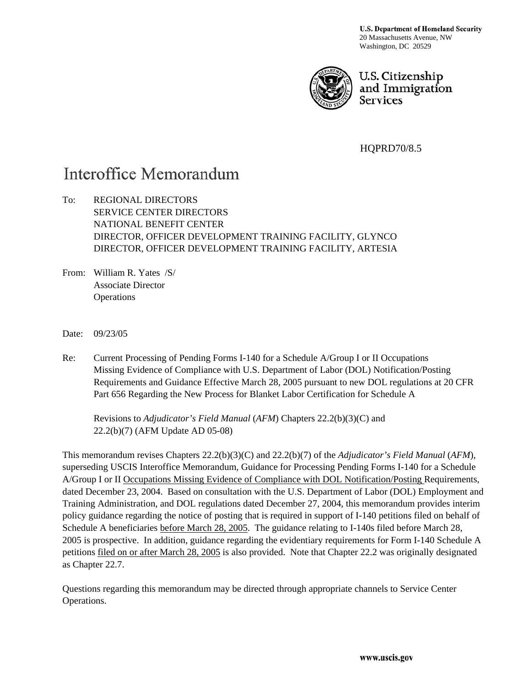**U.S. Department of Homeland Security** 20 Massachusetts Avenue, NW Washington, DC 20529



U.S. Citizenship and Immigration **Services** 

HQPRD70/8.5

# Interoffice Memorandum

To: REGIONAL DIRECTORS SERVICE CENTER DIRECTORS NATIONAL BENEFIT CENTER DIRECTOR, OFFICER DEVELOPMENT TRAINING FACILITY, GLYNCO DIRECTOR, OFFICER DEVELOPMENT TRAINING FACILITY, ARTESIA

From: William R. Yates /S/ Associate Director **Operations** 

Date: 09/23/05

Re: Current Processing of Pending Forms I-140 for a Schedule A/Group I or II Occupations Missing Evidence of Compliance with U.S. Department of Labor (DOL) Notification/Posting Requirements and Guidance Effective March 28, 2005 pursuant to new DOL regulations at 20 CFR Part 656 Regarding the New Process for Blanket Labor Certification for Schedule A

Revisions to *Adjudicator's Field Manual* (*AFM*) Chapters 22.2(b)(3)(C) and 22.2(b)(7) (AFM Update AD 05-08)

This memorandum revises Chapters 22.2(b)(3)(C) and 22.2(b)(7) of the *Adjudicator's Field Manual* (*AFM*), superseding USCIS Interoffice Memorandum, Guidance for Processing Pending Forms I-140 for a Schedule A/Group I or II Occupations Missing Evidence of Compliance with DOL Notification/Posting Requirements, dated December 23, 2004. Based on consultation with the U.S. Department of Labor (DOL) Employment and Training Administration, and DOL regulations dated December 27, 2004, this memorandum provides interim policy guidance regarding the notice of posting that is required in support of I-140 petitions filed on behalf of Schedule A beneficiaries before March 28, 2005. The guidance relating to I-140s filed before March 28, 2005 is prospective. In addition, guidance regarding the evidentiary requirements for Form I-140 Schedule A petitions filed on or after March 28, 2005 is also provided. Note that Chapter 22.2 was originally designated as Chapter 22.7.

Questions regarding this memorandum may be directed through appropriate channels to Service Center Operations.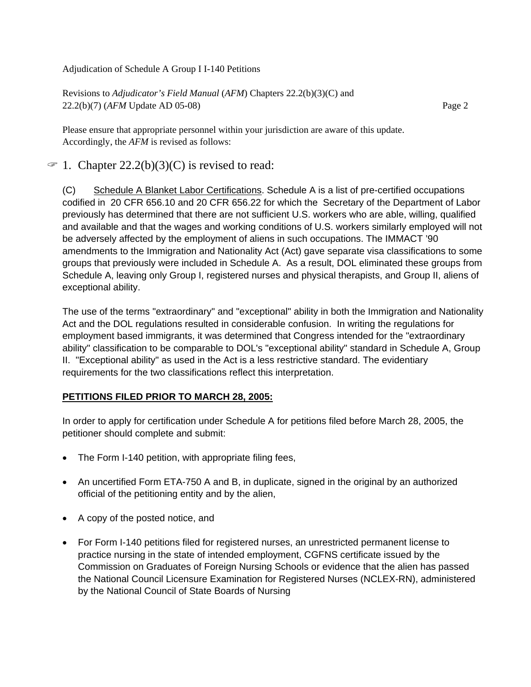Revisions to *Adjudicator's Field Manual* (*AFM*) Chapters 22.2(b)(3)(C) and 22.2(b)(7) (*AFM* Update AD 05-08) Page 2

Please ensure that appropriate personnel within your jurisdiction are aware of this update. Accordingly, the *AFM* is revised as follows:

# $\mathcal{F}$  1. Chapter 22.2(b)(3)(C) is revised to read:

(C) Schedule A Blanket Labor Certifications. Schedule A is a list of pre-certified occupations codified in 20 CFR 656.10 and 20 CFR 656.22 for which the Secretary of the Department of Labor previously has determined that there are not sufficient U.S. workers who are able, willing, qualified and available and that the wages and working conditions of U.S. workers similarly employed will not be adversely affected by the employment of aliens in such occupations. The IMMACT '90 amendments to the Immigration and Nationality Act (Act) gave separate visa classifications to some groups that previously were included in Schedule A. As a result, DOL eliminated these groups from Schedule A, leaving only Group I, registered nurses and physical therapists, and Group II, aliens of exceptional ability.

The use of the terms "extraordinary" and "exceptional" ability in both the Immigration and Nationality Act and the DOL regulations resulted in considerable confusion. In writing the regulations for employment based immigrants, it was determined that Congress intended for the "extraordinary ability" classification to be comparable to DOL's "exceptional ability" standard in Schedule A, Group II. "Exceptional ability" as used in the Act is a less restrictive standard. The evidentiary requirements for the two classifications reflect this interpretation.

#### **PETITIONS FILED PRIOR TO MARCH 28, 2005:**

In order to apply for certification under Schedule A for petitions filed before March 28, 2005, the petitioner should complete and submit:

- The Form I-140 petition, with appropriate filing fees,
- An uncertified Form ETA-750 A and B, in duplicate, signed in the original by an authorized official of the petitioning entity and by the alien,
- A copy of the posted notice, and
- For Form I-140 petitions filed for registered nurses, an unrestricted permanent license to practice nursing in the state of intended employment, CGFNS certificate issued by the Commission on Graduates of Foreign Nursing Schools or evidence that the alien has passed the National Council Licensure Examination for Registered Nurses (NCLEX-RN), administered by the National Council of State Boards of Nursing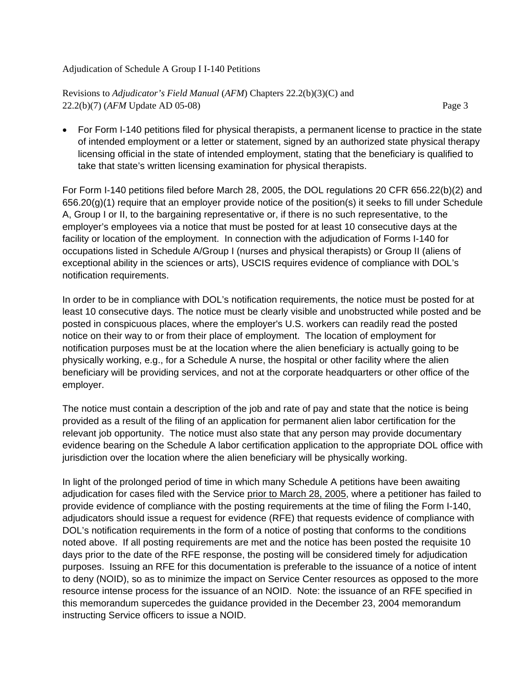Revisions to *Adjudicator's Field Manual* (*AFM*) Chapters 22.2(b)(3)(C) and 22.2(b)(7) (*AFM* Update AD 05-08) Page 3

• For Form I-140 petitions filed for physical therapists, a permanent license to practice in the state of intended employment or a letter or statement, signed by an authorized state physical therapy licensing official in the state of intended employment, stating that the beneficiary is qualified to take that state's written licensing examination for physical therapists.

For Form I-140 petitions filed before March 28, 2005, the DOL regulations 20 CFR 656.22(b)(2) and 656.20(g)(1) require that an employer provide notice of the position(s) it seeks to fill under Schedule A, Group I or II, to the bargaining representative or, if there is no such representative, to the employer's employees via a notice that must be posted for at least 10 consecutive days at the facility or location of the employment. In connection with the adjudication of Forms I-140 for occupations listed in Schedule A/Group I (nurses and physical therapists) or Group II (aliens of exceptional ability in the sciences or arts), USCIS requires evidence of compliance with DOL's notification requirements.

In order to be in compliance with DOL's notification requirements, the notice must be posted for at least 10 consecutive days. The notice must be clearly visible and unobstructed while posted and be posted in conspicuous places, where the employer's U.S. workers can readily read the posted notice on their way to or from their place of employment. The location of employment for notification purposes must be at the location where the alien beneficiary is actually going to be physically working, e.g., for a Schedule A nurse, the hospital or other facility where the alien beneficiary will be providing services, and not at the corporate headquarters or other office of the employer.

The notice must contain a description of the job and rate of pay and state that the notice is being provided as a result of the filing of an application for permanent alien labor certification for the relevant job opportunity. The notice must also state that any person may provide documentary evidence bearing on the Schedule A labor certification application to the appropriate DOL office with jurisdiction over the location where the alien beneficiary will be physically working.

In light of the prolonged period of time in which many Schedule A petitions have been awaiting adjudication for cases filed with the Service prior to March 28, 2005, where a petitioner has failed to provide evidence of compliance with the posting requirements at the time of filing the Form I-140, adjudicators should issue a request for evidence (RFE) that requests evidence of compliance with DOL's notification requirements in the form of a notice of posting that conforms to the conditions noted above. If all posting requirements are met and the notice has been posted the requisite 10 days prior to the date of the RFE response, the posting will be considered timely for adjudication purposes. Issuing an RFE for this documentation is preferable to the issuance of a notice of intent to deny (NOID), so as to minimize the impact on Service Center resources as opposed to the more resource intense process for the issuance of an NOID. Note: the issuance of an RFE specified in this memorandum supercedes the guidance provided in the December 23, 2004 memorandum instructing Service officers to issue a NOID.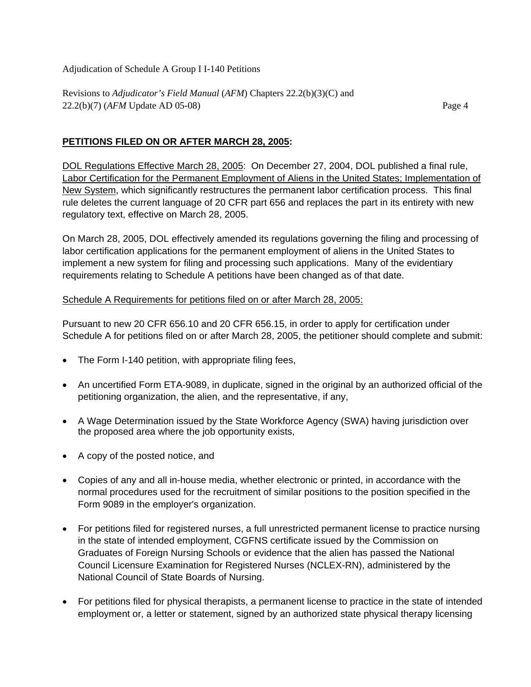Revisions to *Adjudicator's Field Manual* (*AFM*) Chapters 22.2(b)(3)(C) and 22.2(b)(7) (*AFM* Update AD 05-08) Page 4

### **PETITIONS FILED ON OR AFTER MARCH 28, 2005:**

DOL Regulations Effective March 28, 2005: On December 27, 2004, DOL published a final rule, Labor Certification for the Permanent Employment of Aliens in the United States; Implementation of New System, which significantly restructures the permanent labor certification process. This final rule deletes the current language of 20 CFR part 656 and replaces the part in its entirety with new regulatory text, effective on March 28, 2005.

On March 28, 2005, DOL effectively amended its regulations governing the filing and processing of labor certification applications for the permanent employment of aliens in the United States to implement a new system for filing and processing such applications. Many of the evidentiary requirements relating to Schedule A petitions have been changed as of that date.

#### Schedule A Requirements for petitions filed on or after March 28, 2005:

Pursuant to new 20 CFR 656.10 and 20 CFR 656.15, in order to apply for certification under Schedule A for petitions filed on or after March 28, 2005, the petitioner should complete and submit:

- The Form I-140 petition, with appropriate filing fees,
- An uncertified Form ETA-9089, in duplicate, signed in the original by an authorized official of the petitioning organization, the alien, and the representative, if any,
- A Wage Determination issued by the State Workforce Agency (SWA) having jurisdiction over the proposed area where the job opportunity exists,
- A copy of the posted notice, and
- Copies of any and all in-house media, whether electronic or printed, in accordance with the normal procedures used for the recruitment of similar positions to the position specified in the Form 9089 in the employer's organization.
- For petitions filed for registered nurses, a full unrestricted permanent license to practice nursing in the state of intended employment, CGFNS certificate issued by the Commission on Graduates of Foreign Nursing Schools or evidence that the alien has passed the National Council Licensure Examination for Registered Nurses (NCLEX-RN), administered by the National Council of State Boards of Nursing.
- For petitions filed for physical therapists, a permanent license to practice in the state of intended employment or, a letter or statement, signed by an authorized state physical therapy licensing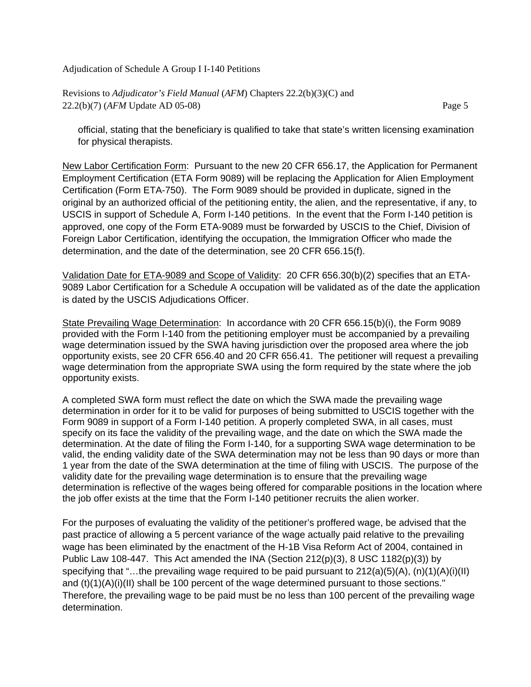Revisions to *Adjudicator's Field Manual* (*AFM*) Chapters 22.2(b)(3)(C) and 22.2(b)(7) (*AFM* Update AD 05-08) Page 5

official, stating that the beneficiary is qualified to take that state's written licensing examination for physical therapists.

New Labor Certification Form: Pursuant to the new 20 CFR 656.17, the Application for Permanent Employment Certification (ETA Form 9089) will be replacing the Application for Alien Employment Certification (Form ETA-750). The Form 9089 should be provided in duplicate, signed in the original by an authorized official of the petitioning entity, the alien, and the representative, if any, to USCIS in support of Schedule A, Form I-140 petitions. In the event that the Form I-140 petition is approved, one copy of the Form ETA-9089 must be forwarded by USCIS to the Chief, Division of Foreign Labor Certification, identifying the occupation, the Immigration Officer who made the determination, and the date of the determination, see 20 CFR 656.15(f).

Validation Date for ETA-9089 and Scope of Validity: 20 CFR 656.30(b)(2) specifies that an ETA-9089 Labor Certification for a Schedule A occupation will be validated as of the date the application is dated by the USCIS Adjudications Officer.

State Prevailing Wage Determination: In accordance with 20 CFR 656.15(b)(i), the Form 9089 provided with the Form I-140 from the petitioning employer must be accompanied by a prevailing wage determination issued by the SWA having jurisdiction over the proposed area where the job opportunity exists, see 20 CFR 656.40 and 20 CFR 656.41. The petitioner will request a prevailing wage determination from the appropriate SWA using the form required by the state where the job opportunity exists.

A completed SWA form must reflect the date on which the SWA made the prevailing wage determination in order for it to be valid for purposes of being submitted to USCIS together with the Form 9089 in support of a Form I-140 petition. A properly completed SWA, in all cases, must specify on its face the validity of the prevailing wage, and the date on which the SWA made the determination. At the date of filing the Form I-140, for a supporting SWA wage determination to be valid, the ending validity date of the SWA determination may not be less than 90 days or more than 1 year from the date of the SWA determination at the time of filing with USCIS. The purpose of the validity date for the prevailing wage determination is to ensure that the prevailing wage determination is reflective of the wages being offered for comparable positions in the location where the job offer exists at the time that the Form I-140 petitioner recruits the alien worker.

For the purposes of evaluating the validity of the petitioner's proffered wage, be advised that the past practice of allowing a 5 percent variance of the wage actually paid relative to the prevailing wage has been eliminated by the enactment of the H-1B Visa Reform Act of 2004, contained in Public Law 108-447. This Act amended the INA (Section 212(p)(3), 8 USC 1182(p)(3)) by specifying that "...the prevailing wage required to be paid pursuant to  $212(a)(5)(A)$ ,  $(n)(1)(A)(i)(II)$ and (t)(1)(A)(i)(II) shall be 100 percent of the wage determined pursuant to those sections.'' Therefore, the prevailing wage to be paid must be no less than 100 percent of the prevailing wage determination.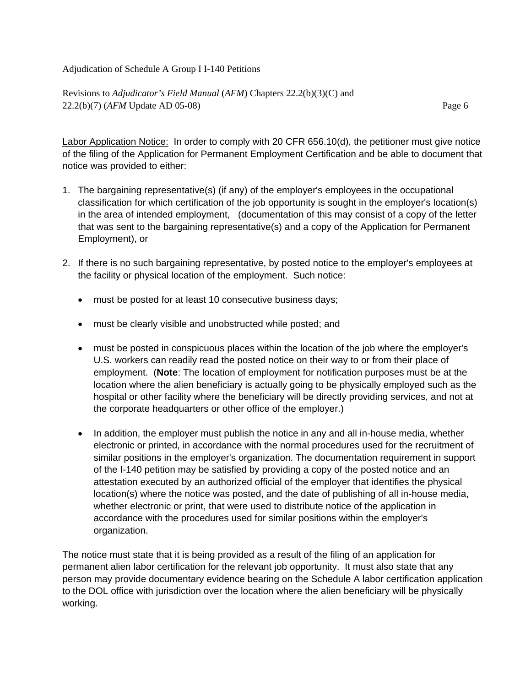Revisions to *Adjudicator's Field Manual* (*AFM*) Chapters 22.2(b)(3)(C) and 22.2(b)(7) (*AFM* Update AD 05-08) Page 6

Labor Application Notice: In order to comply with 20 CFR 656.10(d), the petitioner must give notice of the filing of the Application for Permanent Employment Certification and be able to document that notice was provided to either:

- 1. The bargaining representative(s) (if any) of the employer's employees in the occupational classification for which certification of the job opportunity is sought in the employer's location(s) in the area of intended employment, (documentation of this may consist of a copy of the letter that was sent to the bargaining representative(s) and a copy of the Application for Permanent Employment), or
- 2. If there is no such bargaining representative, by posted notice to the employer's employees at the facility or physical location of the employment. Such notice:
	- must be posted for at least 10 consecutive business days;
	- must be clearly visible and unobstructed while posted; and
	- must be posted in conspicuous places within the location of the job where the employer's U.S. workers can readily read the posted notice on their way to or from their place of employment. (**Note**: The location of employment for notification purposes must be at the location where the alien beneficiary is actually going to be physically employed such as the hospital or other facility where the beneficiary will be directly providing services, and not at the corporate headquarters or other office of the employer.)
	- In addition, the employer must publish the notice in any and all in-house media, whether electronic or printed, in accordance with the normal procedures used for the recruitment of similar positions in the employer's organization. The documentation requirement in support of the I-140 petition may be satisfied by providing a copy of the posted notice and an attestation executed by an authorized official of the employer that identifies the physical location(s) where the notice was posted, and the date of publishing of all in-house media, whether electronic or print, that were used to distribute notice of the application in accordance with the procedures used for similar positions within the employer's organization.

The notice must state that it is being provided as a result of the filing of an application for permanent alien labor certification for the relevant job opportunity. It must also state that any person may provide documentary evidence bearing on the Schedule A labor certification application to the DOL office with jurisdiction over the location where the alien beneficiary will be physically working.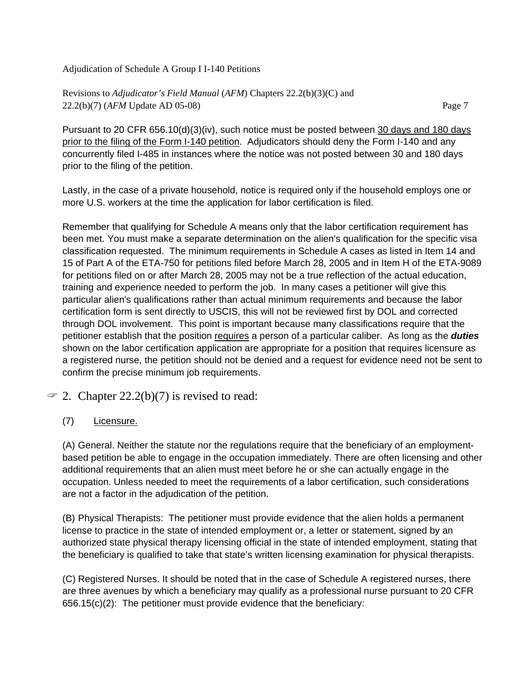Revisions to *Adjudicator's Field Manual* (*AFM*) Chapters 22.2(b)(3)(C) and 22.2(b)(7) (*AFM* Update AD 05-08) Page 7

Pursuant to 20 CFR 656.10(d)(3)(iv), such notice must be posted between 30 days and 180 days prior to the filing of the Form I-140 petition. Adjudicators should deny the Form I-140 and any concurrently filed I-485 in instances where the notice was not posted between 30 and 180 days prior to the filing of the petition.

Lastly, in the case of a private household, notice is required only if the household employs one or more U.S. workers at the time the application for labor certification is filed.

Remember that qualifying for Schedule A means only that the labor certification requirement has been met. You must make a separate determination on the alien's qualification for the specific visa classification requested. The minimum requirements in Schedule A cases as listed in Item 14 and 15 of Part A of the ETA-750 for petitions filed before March 28, 2005 and in Item H of the ETA-9089 for petitions filed on or after March 28, 2005 may not be a true reflection of the actual education, training and experience needed to perform the job. In many cases a petitioner will give this particular alien's qualifications rather than actual minimum requirements and because the labor certification form is sent directly to USCIS, this will not be reviewed first by DOL and corrected through DOL involvement. This point is important because many classifications require that the petitioner establish that the position requires a person of a particular caliber. As long as the *duties* shown on the labor certification application are appropriate for a position that requires licensure as a registered nurse, the petition should not be denied and a request for evidence need not be sent to confirm the precise minimum job requirements.

## $\mathcal{F}$  2. Chapter 22.2(b)(7) is revised to read:

(7) Licensure.

(A) General. Neither the statute nor the regulations require that the beneficiary of an employmentbased petition be able to engage in the occupation immediately. There are often licensing and other additional requirements that an alien must meet before he or she can actually engage in the occupation. Unless needed to meet the requirements of a labor certification, such considerations are not a factor in the adjudication of the petition.

(B) Physical Therapists: The petitioner must provide evidence that the alien holds a permanent license to practice in the state of intended employment or, a letter or statement, signed by an authorized state physical therapy licensing official in the state of intended employment, stating that the beneficiary is qualified to take that state's written licensing examination for physical therapists.

(C) Registered Nurses. It should be noted that in the case of Schedule A registered nurses, there are three avenues by which a beneficiary may qualify as a professional nurse pursuant to 20 CFR 656.15(c)(2): The petitioner must provide evidence that the beneficiary: